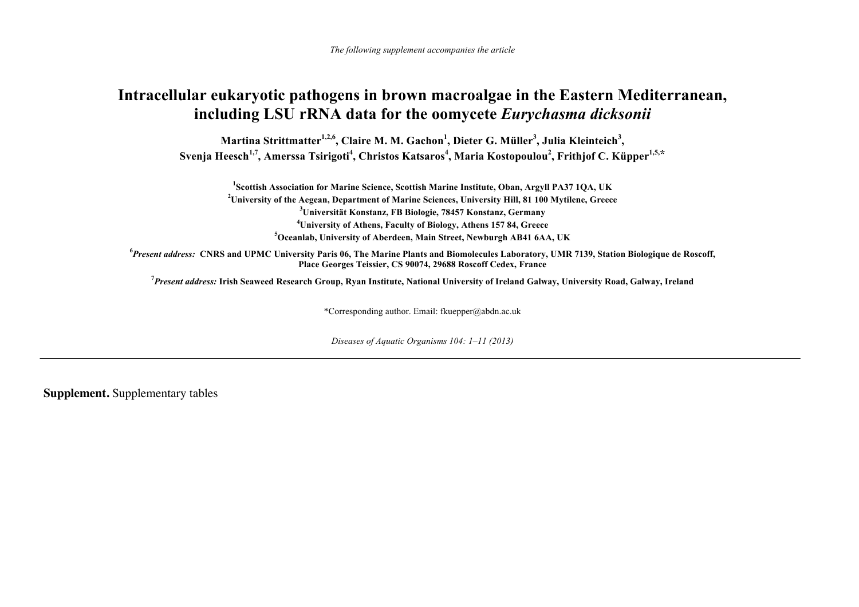*The following supplement accompanies the article* 

## **Intracellular eukaryotic pathogens in brown macroalgae in the Eastern Mediterranean, including LSU rRNA data for the oomycete** *Eurychasma dicksonii*

Martina Strittmatter<sup>1,2,6</sup>, Claire M. M. Gachon<sup>1</sup>, Dieter G. Müller<sup>3</sup>, Julia Kleinteich<sup>3</sup>, Svenja Heesch<sup>1,7</sup>, Amerssa Tsirigoti<sup>4</sup>, Christos Katsaros<sup>4</sup>, Maria Kostopoulou<sup>2</sup>, Frithjof C. Küpper<sup>1,5,\*</sup>

**1Scottish Association for Marine Science, Scottish Marine Institute, Oban, Argyll PA37 1QA, UK 2University of the Aegean, Department of Marine Sciences, University Hill, 81 100 Mytilene, Greece 3Universität Konstanz, FB Biologie, 78457 Konstanz, Germany 4University of Athens, Faculty of Biology, Athens 157 84, Greece 5Oceanlab, University of Aberdeen, Main Street, Newburgh AB41 6AA, UK** 

**<sup>6</sup>***Present address:* **CNRS and UPMC University Paris 06, The Marine Plants and Biomolecules Laboratory, UMR 7139, Station Biologique de Roscoff, Place Georges Teissier, CS 90074, 29688 Roscoff Cedex, France** 

**<sup>7</sup>***Present address:* **Irish Seaweed Research Group, Ryan Institute, National University of Ireland Galway, University Road, Galway, Ireland** 

\*Corresponding author. Email: fkuepper@abdn.ac.uk

*Diseases of Aquatic Organisms 104: 1–11 (2013)* 

**Supplement.** Supplementary tables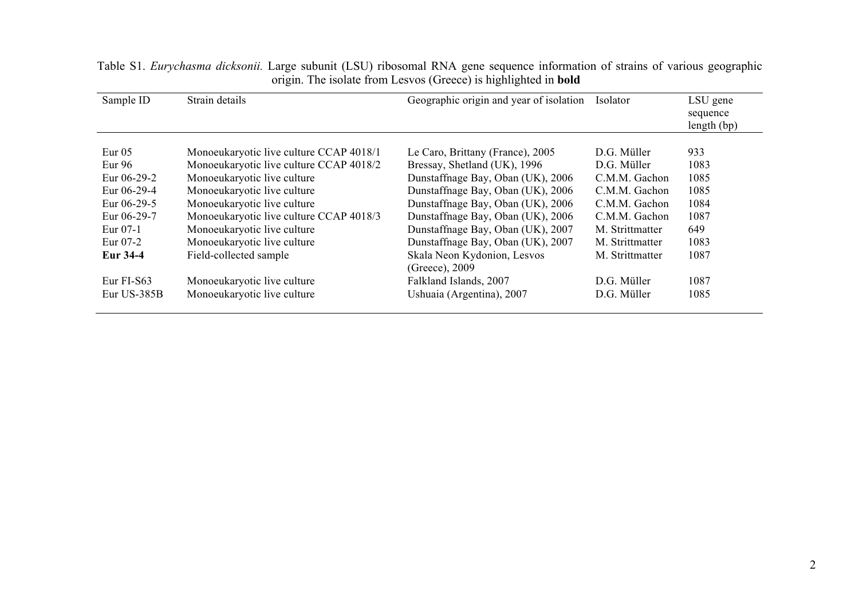| Sample ID       | Strain details                          | Geographic origin and year of isolation | Isolator        | LSU gene<br>sequence<br>length (bp) |
|-----------------|-----------------------------------------|-----------------------------------------|-----------------|-------------------------------------|
|                 |                                         |                                         |                 |                                     |
| Eur $05$        | Monoeukaryotic live culture CCAP 4018/1 | Le Caro, Brittany (France), 2005        | D.G. Müller     | 933                                 |
| Eur $96$        | Monoeukaryotic live culture CCAP 4018/2 | Bressay, Shetland (UK), 1996            | D.G. Müller     | 1083                                |
| Eur $06-29-2$   | Monoeukaryotic live culture             | Dunstaffnage Bay, Oban (UK), 2006       | C.M.M. Gachon   | 1085                                |
| Eur 06-29-4     | Monoeukaryotic live culture             | Dunstaffnage Bay, Oban (UK), 2006       | C.M.M. Gachon   | 1085                                |
| Eur $06-29-5$   | Monoeukaryotic live culture             | Dunstaffnage Bay, Oban (UK), 2006       | C.M.M. Gachon   | 1084                                |
| Eur 06-29-7     | Monoeukaryotic live culture CCAP 4018/3 | Dunstaffnage Bay, Oban (UK), 2006       | C.M.M. Gachon   | 1087                                |
| Eur 07-1        | Monoeukaryotic live culture             | Dunstaffnage Bay, Oban (UK), 2007       | M. Strittmatter | 649                                 |
| Eur 07-2        | Monoeukaryotic live culture             | Dunstaffnage Bay, Oban (UK), 2007       | M. Strittmatter | 1083                                |
| <b>Eur 34-4</b> | Field-collected sample                  | Skala Neon Kydonion, Lesvos             | M. Strittmatter | 1087                                |
|                 |                                         | (Greece), 2009                          |                 |                                     |
| Eur FI-S63      | Monoeukaryotic live culture             | Falkland Islands, 2007                  | D.G. Müller     | 1087                                |
| Eur US-385B     | Monoeukaryotic live culture             | Ushuaia (Argentina), 2007               | D.G. Müller     | 1085                                |

Table S1. *Eurychasma dicksonii.* Large subunit (LSU) ribosomal RNA gene sequence information of strains of various geographic origin. The isolate from Lesvos (Greece) is highlighted in **bold**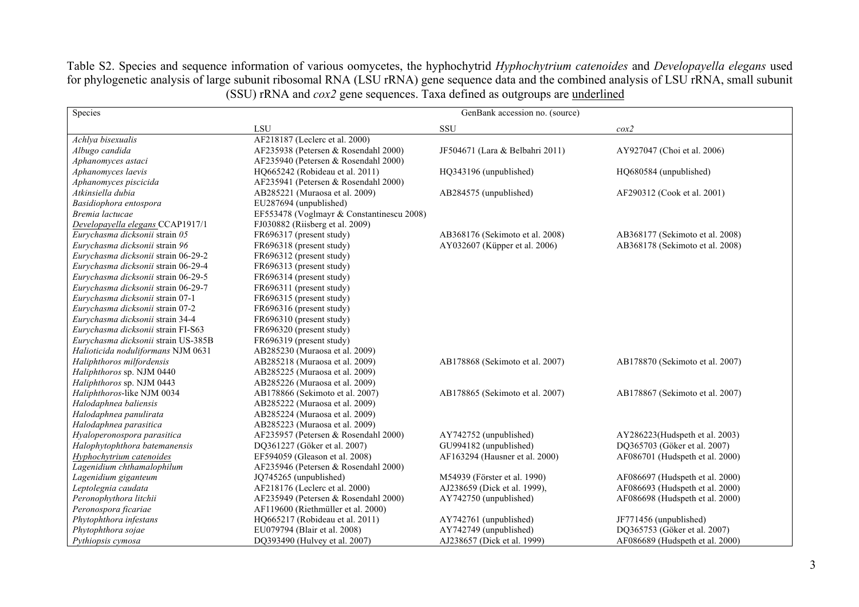Table S2. Species and sequence information of various oomycetes, the hyphochytrid *Hyphochytrium catenoides* and *Developayella elegans* used for phylogenetic analysis of large subunit ribosomal RNA (LSU rRNA) gene sequence data and the combined analysis of LSU rRNA, small subunit (SSU) rRNA and *cox2* gene sequences. Taxa defined as outgroups are underlined

| Species                             |                                           | GenBank accession no. (source)  |                                 |
|-------------------------------------|-------------------------------------------|---------------------------------|---------------------------------|
|                                     | LSU                                       | SSU                             | $\cos 2$                        |
| Achlya bisexualis                   | AF218187 (Leclerc et al. 2000)            |                                 |                                 |
| Albugo candida                      | AF235938 (Petersen & Rosendahl 2000)      | JF504671 (Lara & Belbahri 2011) | AY927047 (Choi et al. 2006)     |
| Aphanomyces astaci                  | AF235940 (Petersen & Rosendahl 2000)      |                                 |                                 |
| Aphanomyces laevis                  | HQ665242 (Robideau et al. 2011)           | HQ343196 (unpublished)          | HQ680584 (unpublished)          |
| Aphanomyces piscicida               | AF235941 (Petersen & Rosendahl 2000)      |                                 |                                 |
| Atkinsiella dubia                   | AB285221 (Muraosa et al. 2009)            | AB284575 (unpublished)          | AF290312 (Cook et al. 2001)     |
| Basidiophora entospora              | EU287694 (unpublished)                    |                                 |                                 |
| Bremia lactucae                     | EF553478 (Voglmayr & Constantinescu 2008) |                                 |                                 |
| Developayella elegans CCAP1917/1    | FJ030882 (Riisberg et al. 2009)           |                                 |                                 |
| Eurychasma dicksonii strain 05      | FR696317 (present study)                  | AB368176 (Sekimoto et al. 2008) | AB368177 (Sekimoto et al. 2008) |
| Eurychasma dicksonii strain 96      | FR696318 (present study)                  | AY032607 (Küpper et al. 2006)   | AB368178 (Sekimoto et al. 2008) |
| Eurychasma dicksonii strain 06-29-2 | FR696312 (present study)                  |                                 |                                 |
| Eurychasma dicksonii strain 06-29-4 | FR696313 (present study)                  |                                 |                                 |
| Eurychasma dicksonii strain 06-29-5 | FR696314 (present study)                  |                                 |                                 |
| Eurychasma dicksonii strain 06-29-7 | FR696311 (present study)                  |                                 |                                 |
| Eurychasma dicksonii strain 07-1    | FR696315 (present study)                  |                                 |                                 |
| Eurychasma dicksonii strain 07-2    | FR696316 (present study)                  |                                 |                                 |
| Eurychasma dicksonii strain 34-4    | FR696310 (present study)                  |                                 |                                 |
| Eurychasma dicksonii strain FI-S63  | FR696320 (present study)                  |                                 |                                 |
| Eurychasma dicksonii strain US-385B | FR696319 (present study)                  |                                 |                                 |
| Halioticida noduliformans NJM 0631  | AB285230 (Muraosa et al. 2009)            |                                 |                                 |
| Haliphthoros milfordensis           | AB285218 (Muraosa et al. 2009)            | AB178868 (Sekimoto et al. 2007) | AB178870 (Sekimoto et al. 2007) |
| Haliphthoros sp. NJM 0440           | AB285225 (Muraosa et al. 2009)            |                                 |                                 |
| Haliphthoros sp. NJM 0443           | AB285226 (Muraosa et al. 2009)            |                                 |                                 |
| Haliphthoros-like NJM 0034          | AB178866 (Sekimoto et al. 2007)           | AB178865 (Sekimoto et al. 2007) | AB178867 (Sekimoto et al. 2007) |
| Halodaphnea baliensis               | AB285222 (Muraosa et al. 2009)            |                                 |                                 |
| Halodaphnea panulirata              | AB285224 (Muraosa et al. 2009)            |                                 |                                 |
| Halodaphnea parasitica              | AB285223 (Muraosa et al. 2009)            |                                 |                                 |
| Hyaloperonospora parasitica         | AF235957 (Petersen & Rosendahl 2000)      | AY742752 (unpublished)          | AY286223(Hudspeth et al. 2003)  |
| Halophytophthora batemanensis       | DQ361227 (Göker et al. 2007)              | GU994182 (unpublished)          | DQ365703 (Göker et al. 2007)    |
| Hyphochytrium catenoides            | EF594059 (Gleason et al. 2008)            | AF163294 (Hausner et al. 2000)  | AF086701 (Hudspeth et al. 2000) |
| Lagenidium chthamalophilum          | AF235946 (Petersen & Rosendahl 2000)      |                                 |                                 |
| Lagenidium giganteum                | JQ745265 (unpublished)                    | M54939 (Förster et al. 1990)    | AF086697 (Hudspeth et al. 2000) |
| Leptolegnia caudata                 | AF218176 (Leclerc et al. 2000)            | AJ238659 (Dick et al. 1999),    | AF086693 (Hudspeth et al. 2000) |
| Peronophythora litchii              | AF235949 (Petersen & Rosendahl 2000)      | AY742750 (unpublished)          | AF086698 (Hudspeth et al. 2000) |
| Peronospora ficariae                | AF119600 (Riethmüller et al. 2000)        |                                 |                                 |
| Phytophthora infestans              | HQ665217 (Robideau et al. 2011)           | AY742761 (unpublished)          | JF771456 (unpublished)          |
| Phytophthora sojae                  | EU079794 (Blair et al. 2008)              | AY742749 (unpublished)          | DQ365753 (Göker et al. 2007)    |
| Pythiopsis cymosa                   | DQ393490 (Hulvey et al. 2007)             | AJ238657 (Dick et al. 1999)     | AF086689 (Hudspeth et al. 2000) |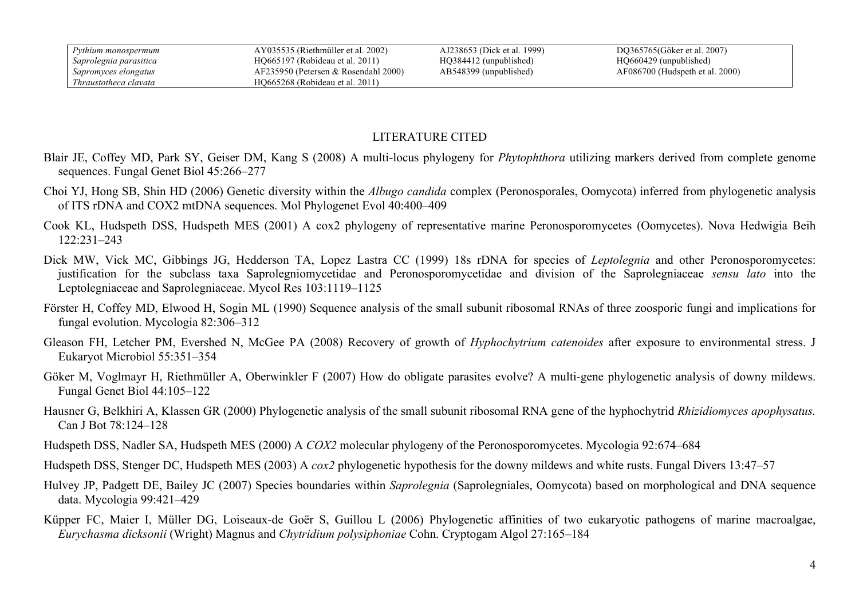## LITERATURE CITED

- Blair JE, Coffey MD, Park SY, Geiser DM, Kang S (2008) A multi-locus phylogeny for *Phytophthora* utilizing markers derived from complete genome sequences. Fungal Genet Biol 45:266–277
- Choi YJ, Hong SB, Shin HD (2006) Genetic diversity within the *Albugo candida* complex (Peronosporales, Oomycota) inferred from phylogenetic analysis of ITS rDNA and COX2 mtDNA sequences. Mol Phylogenet Evol 40:400–409
- Cook KL, Hudspeth DSS, Hudspeth MES (2001) A cox2 phylogeny of representative marine Peronosporomycetes (Oomycetes). Nova Hedwigia Beih 122:231–243
- Dick MW, Vick MC, Gibbings JG, Hedderson TA, Lopez Lastra CC (1999) 18s rDNA for species of *Leptolegnia* and other Peronosporomycetes: justification for the subclass taxa Saprolegniomycetidae and Peronosporomycetidae and division of the Saprolegniaceae *sensu lato* into the Leptolegniaceae and Saprolegniaceae. Mycol Res 103:1119–1125
- Förster H, Coffey MD, Elwood H, Sogin ML (1990) Sequence analysis of the small subunit ribosomal RNAs of three zoosporic fungi and implications for fungal evolution. Mycologia 82:306–312
- Gleason FH, Letcher PM, Evershed N, McGee PA (2008) Recovery of growth of *Hyphochytrium catenoides* after exposure to environmental stress. J Eukaryot Microbiol 55:351–354
- Göker M, Voglmayr H, Riethmüller A, Oberwinkler F (2007) How do obligate parasites evolve? A multi-gene phylogenetic analysis of downy mildews. Fungal Genet Biol 44:105–122
- Hausner G, Belkhiri A, Klassen GR (2000) Phylogenetic analysis of the small subunit ribosomal RNA gene of the hyphochytrid *Rhizidiomyces apophysatus.* Can J Bot 78:124–128
- Hudspeth DSS, Nadler SA, Hudspeth MES (2000) A *COX2* molecular phylogeny of the Peronosporomycetes. Mycologia 92:674–684
- Hudspeth DSS, Stenger DC, Hudspeth MES (2003) A *cox2* phylogenetic hypothesis for the downy mildews and white rusts. Fungal Divers 13:47–57
- Hulvey JP, Padgett DE, Bailey JC (2007) Species boundaries within *Saprolegnia* (Saprolegniales, Oomycota) based on morphological and DNA sequence data. Mycologia 99:421–429
- Küpper FC, Maier I, Müller DG, Loiseaux-de Goër S, Guillou L (2006) Phylogenetic affinities of two eukaryotic pathogens of marine macroalgae, *Eurychasma dicksonii* (Wright) Magnus and *Chytridium polysiphoniae* Cohn. Cryptogam Algol 27:165–184